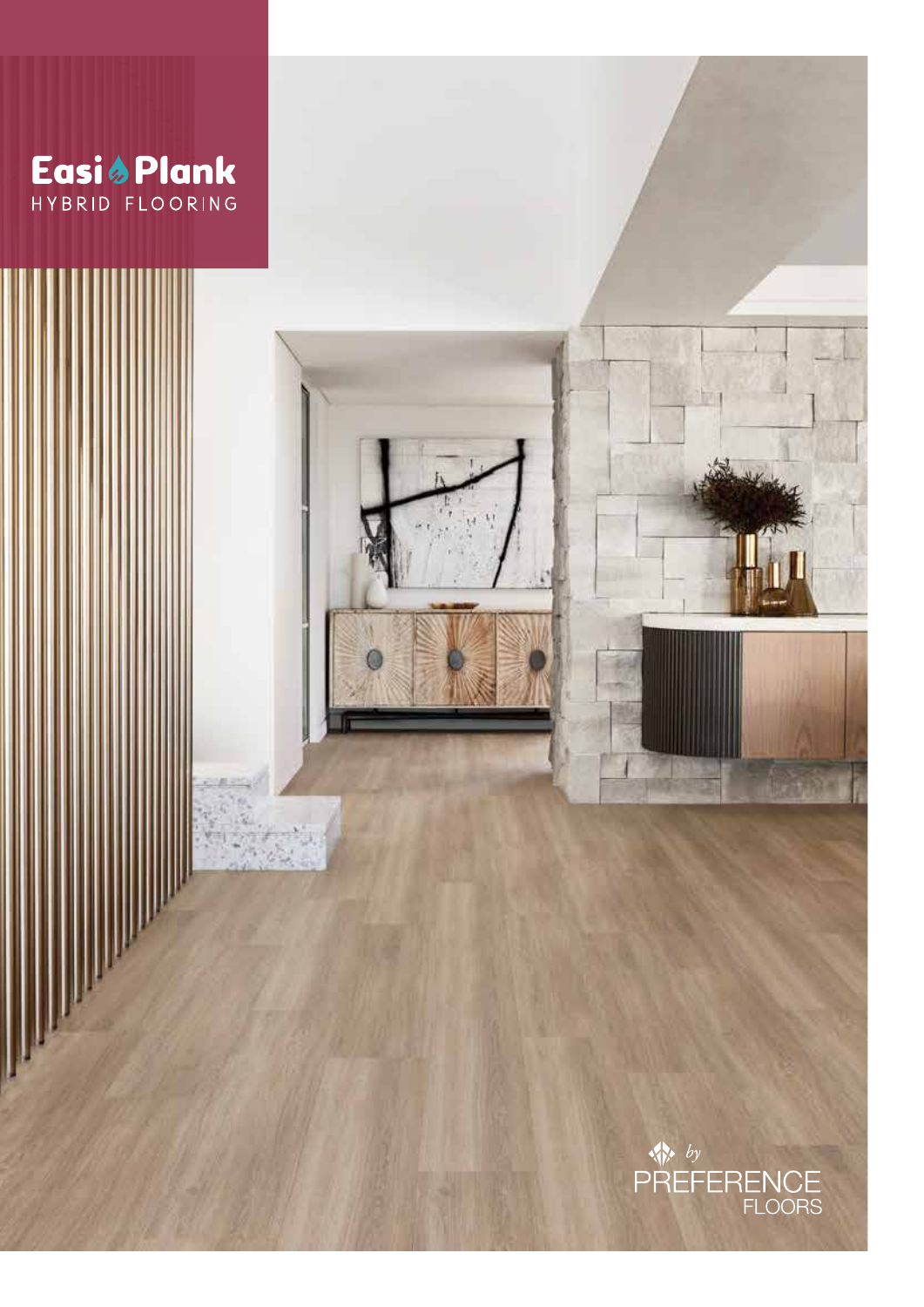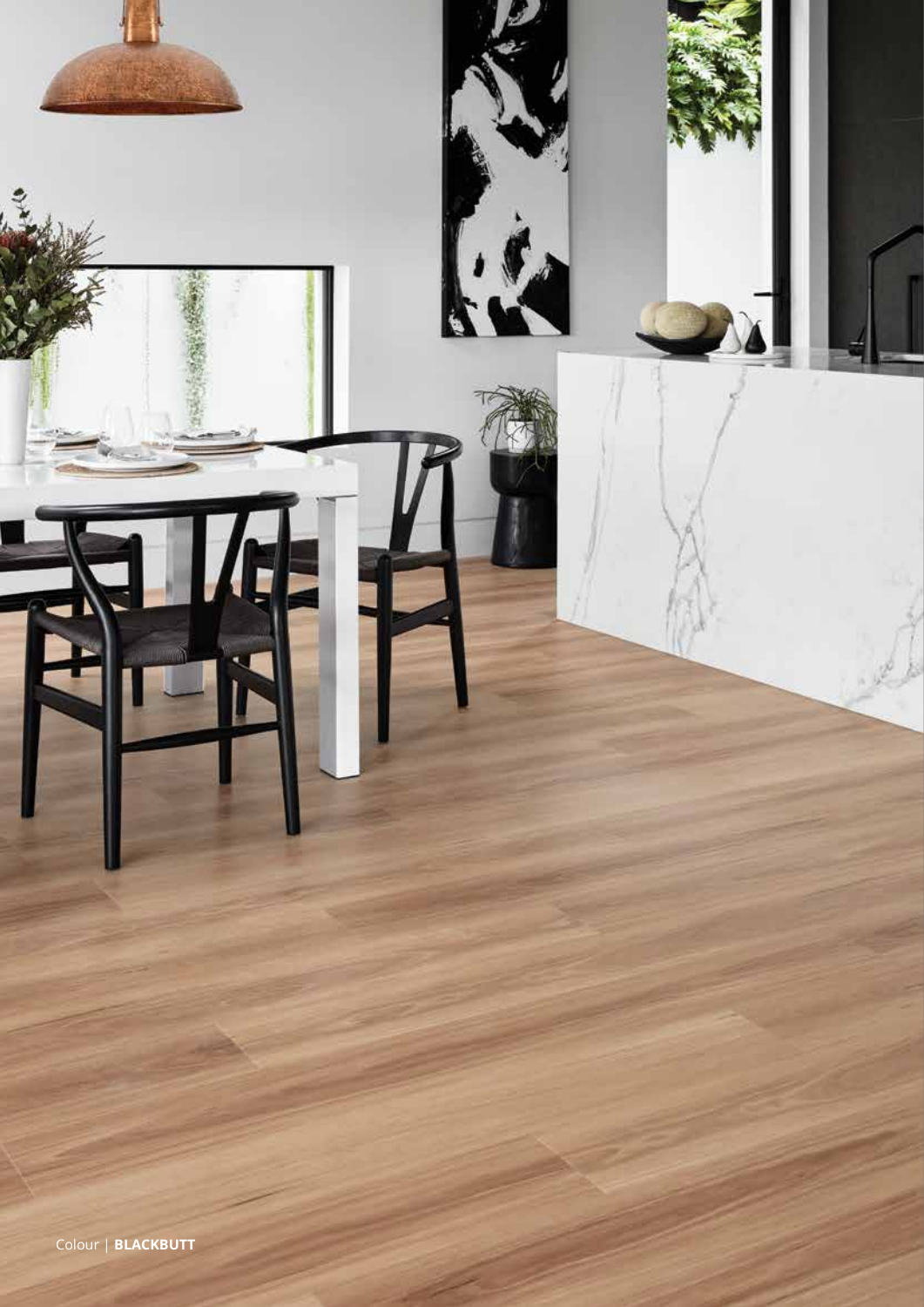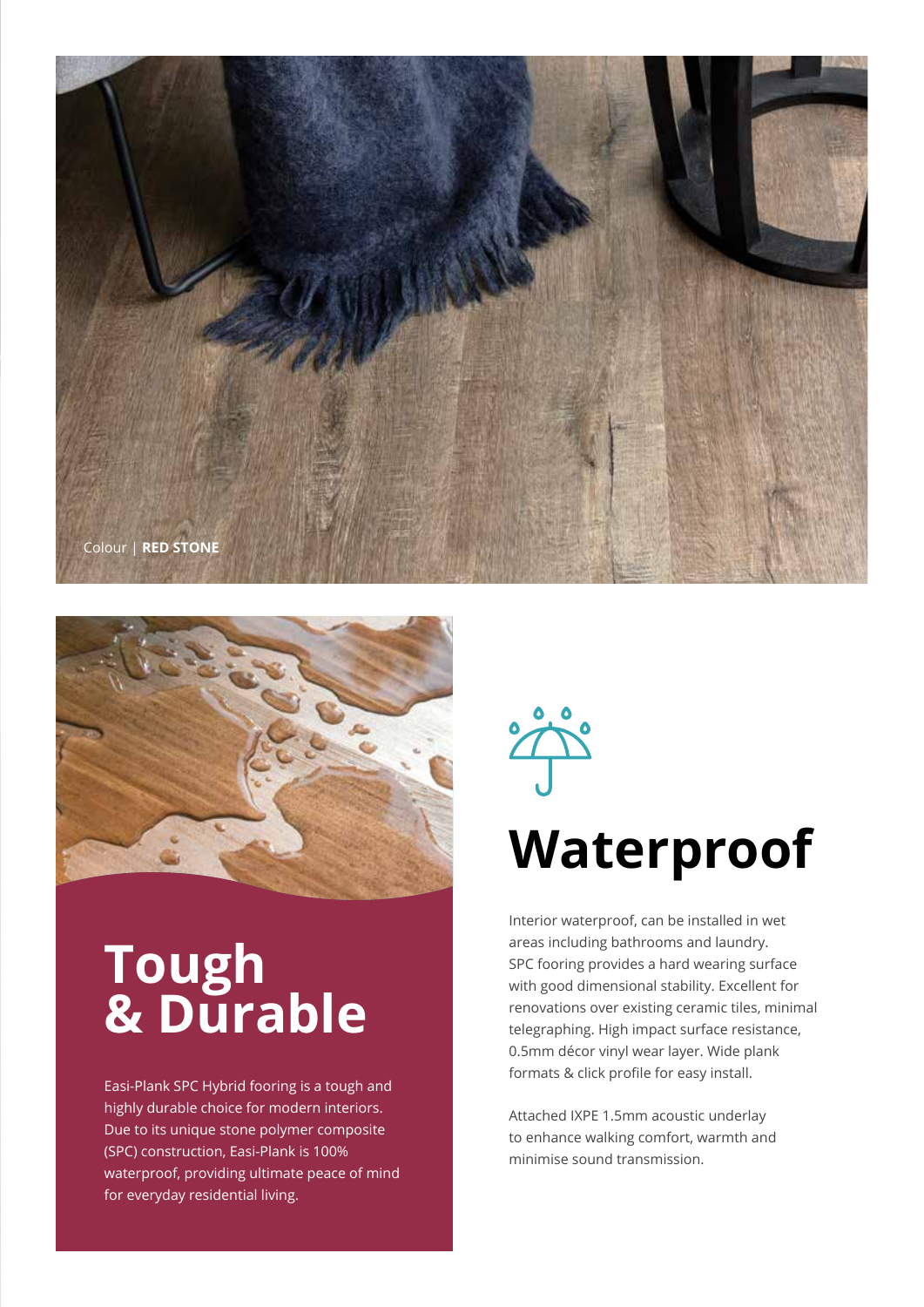



## **Tough & Durable**

Easi-Plank SPC Hybrid fooring is a tough and highly durable choice for modern interiors. Due to its unique stone polymer composite (SPC) construction, Easi-Plank is 100% waterproof, providing ultimate peace of mind for everyday residential living.



# **Waterproof**

Interior waterproof, can be installed in wet areas including bathrooms and laundry. SPC fooring provides a hard wearing surface with good dimensional stability. Excellent for renovations over existing ceramic tiles, minimal telegraphing. High impact surface resistance, 0.5mm décor vinyl wear layer. Wide plank formats & click profile for easy install.

Attached IXPE 1.5mm acoustic underlay to enhance walking comfort, warmth and minimise sound transmission.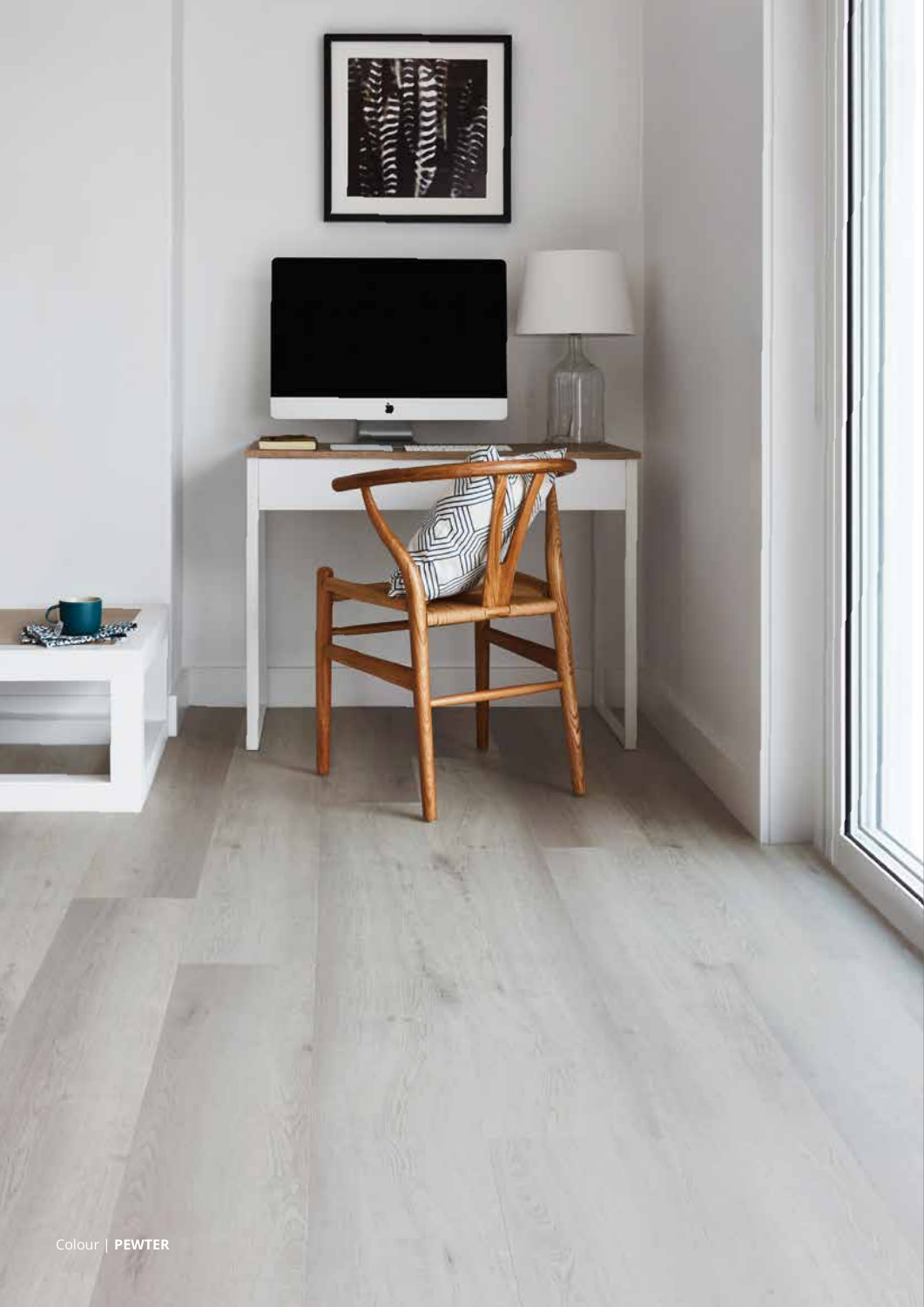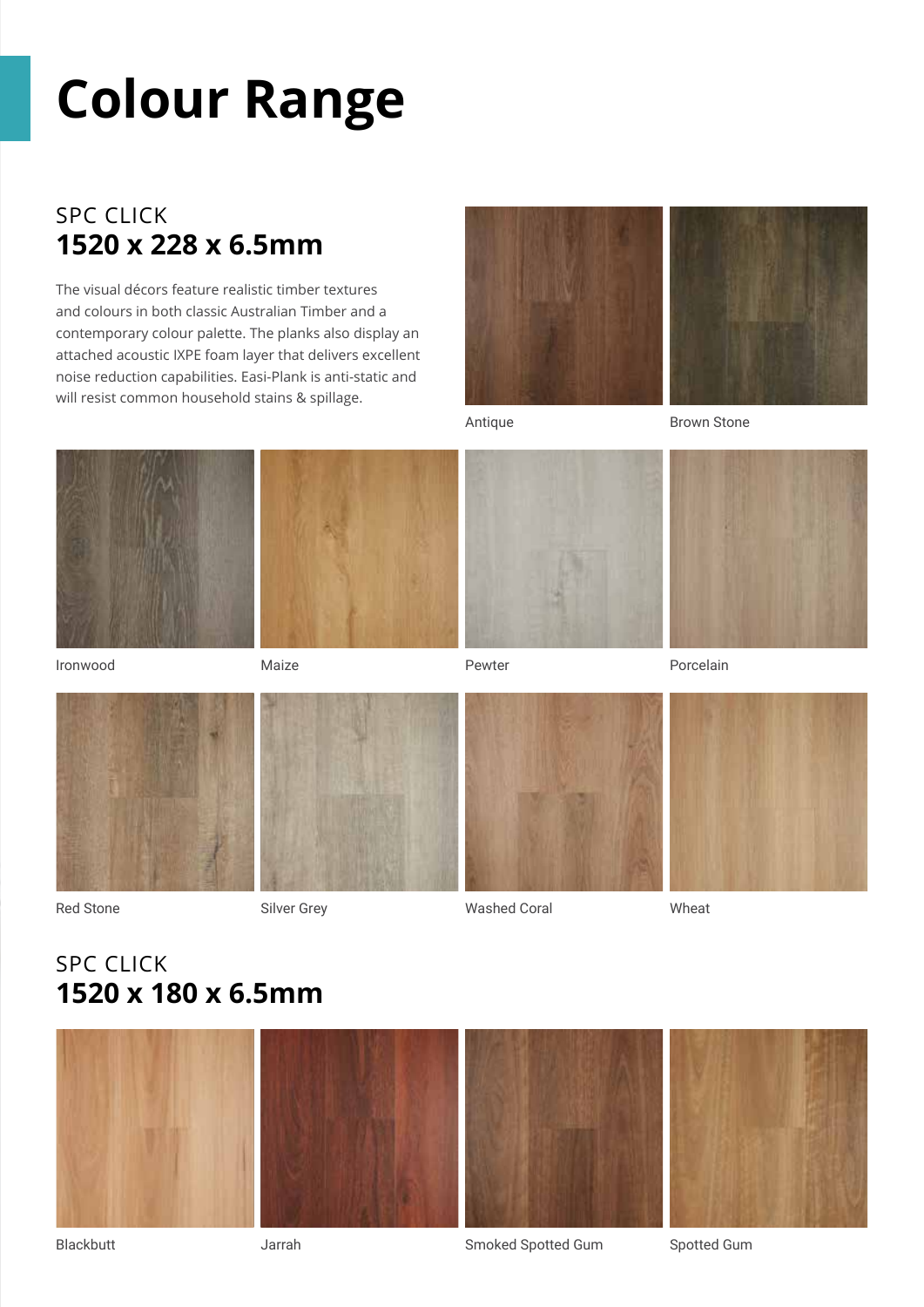# **Colour Range**

## SPC CLICK **1520 x 228 x 6.5mm**

The visual décors feature realistic timber textures and colours in both classic Australian Timber and a contemporary colour palette. The planks also display an attached acoustic IXPE foam layer that delivers excellent noise reduction capabilities. Easi-Plank is anti-static and will resist common household stains & spillage.



Antique

Brown Stone









Ironwood

Maize

Pewter





Red Stone

Silver Grey





Washed Coral



Wheat

## SPC CLICK **1520 x 180 x 6.5mm**







#### Blackbutt

Smoked Spotted Gum

Spotted Gum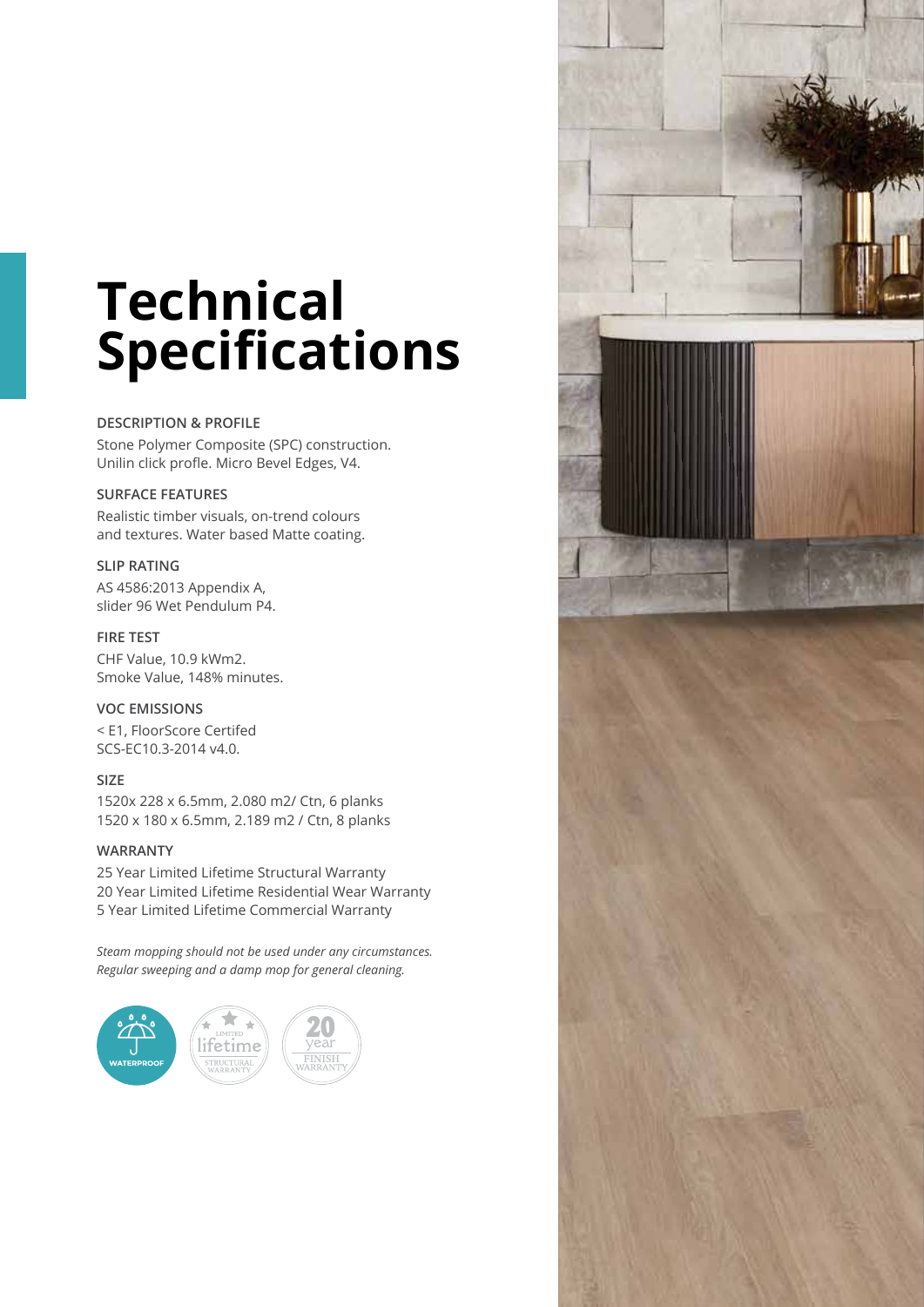# **Technical Specifications**

#### **DESCRIPTION & PROFILE**

Stone Polymer Composite (SPC) construction. Unilin click profle. Micro Bevel Edges, V4.

#### **SURFACE FEATURES**

Realistic timber visuals, on-trend colours and textures. Water based Matte coating.

#### **SLIP RATING**

AS 4586:2013 Appendix A, slider 96 Wet Pendulum P4.

#### **FIRE TEST**

CHF Value, 10.9 kWm2. Smoke Value, 148% minutes.

#### **VOC EMISSIONS**

< E1, FloorScore Certifed SCS-EC10.3-2014 v4.0.

#### **SIZE**

1520x 228 x 6.5mm, 2.080 m2/ Ctn, 6 planks 1520 x 180 x 6.5mm, 2.189 m2 / Ctn, 8 planks

#### **WARRANTY**

25 Year Limited Lifetime Structural Warranty 20 Year Limited Lifetime Residential Wear Warranty 5 Year Limited Lifetime Commercial Warranty

*Steam mopping should not be used under any circumstances. Regular sweeping and a damp mop for general cleaning.*



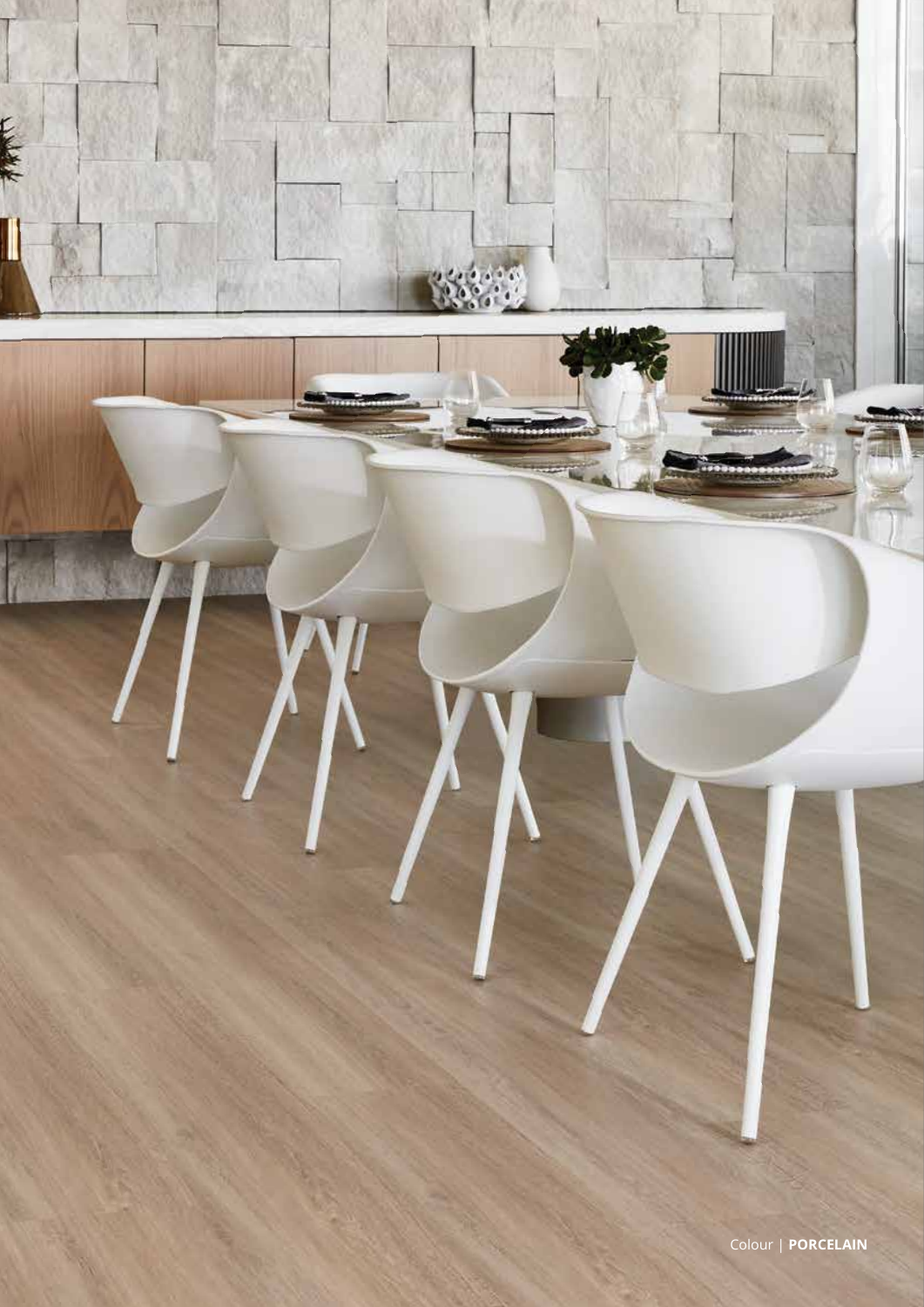